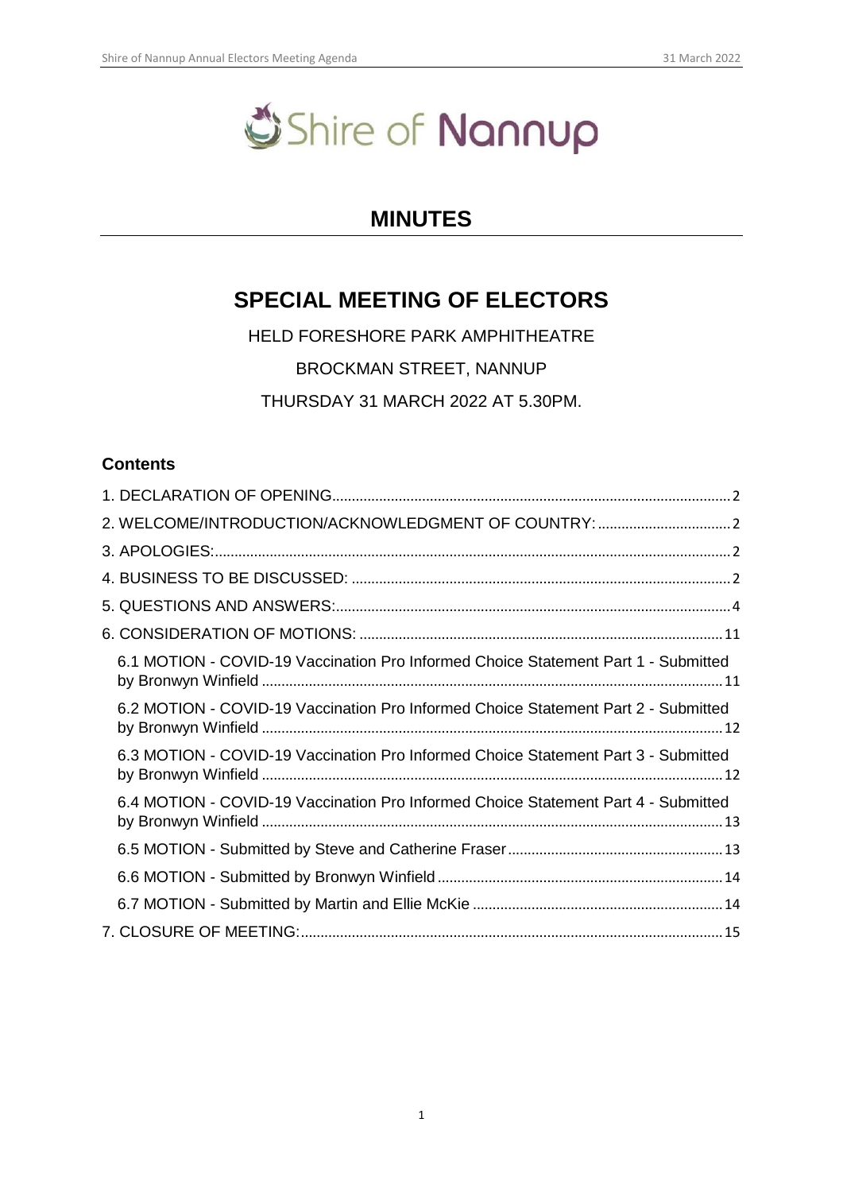# Shire of Nannup

# **MINUTES**

# **SPECIAL MEETING OF ELECTORS**

HELD FORESHORE PARK AMPHITHEATRE BROCKMAN STREET, NANNUP THURSDAY 31 MARCH 2022 AT 5.30PM.

# **Contents**

| 6.1 MOTION - COVID-19 Vaccination Pro Informed Choice Statement Part 1 - Submitted |
|------------------------------------------------------------------------------------|
| 6.2 MOTION - COVID-19 Vaccination Pro Informed Choice Statement Part 2 - Submitted |
| 6.3 MOTION - COVID-19 Vaccination Pro Informed Choice Statement Part 3 - Submitted |
| 6.4 MOTION - COVID-19 Vaccination Pro Informed Choice Statement Part 4 - Submitted |
|                                                                                    |
|                                                                                    |
|                                                                                    |
|                                                                                    |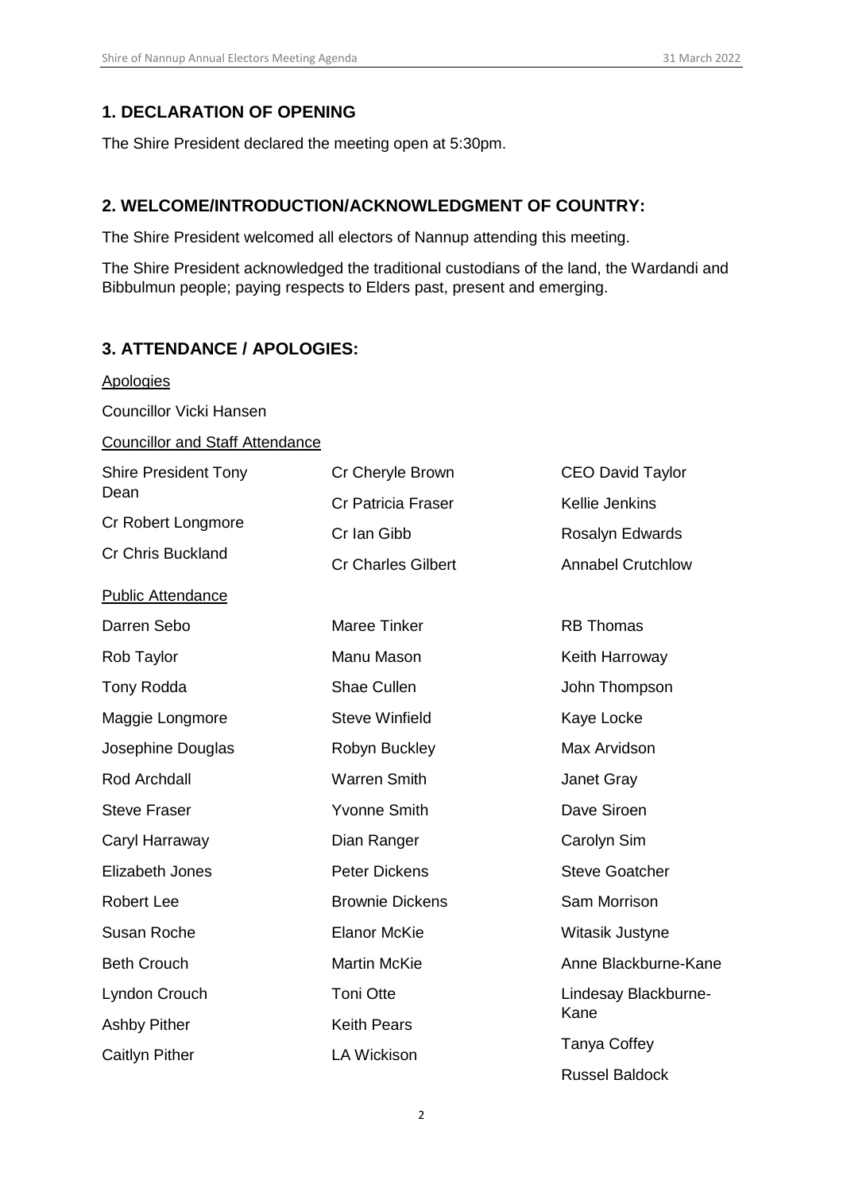# <span id="page-1-0"></span>**1. DECLARATION OF OPENING**

The Shire President declared the meeting open at 5:30pm.

# <span id="page-1-1"></span>**2. WELCOME/INTRODUCTION/ACKNOWLEDGMENT OF COUNTRY:**

The Shire President welcomed all electors of Nannup attending this meeting.

The Shire President acknowledged the traditional custodians of the land, the Wardandi and Bibbulmun people; paying respects to Elders past, present and emerging.

# <span id="page-1-2"></span>**3. ATTENDANCE / APOLOGIES:**

<span id="page-1-3"></span>

| <b>Apologies</b>                        |                                          |                                   |
|-----------------------------------------|------------------------------------------|-----------------------------------|
| <b>Councillor Vicki Hansen</b>          |                                          |                                   |
| <b>Councillor and Staff Attendance</b>  |                                          |                                   |
| <b>Shire President Tony</b><br>Dean     | Cr Cheryle Brown                         | <b>CEO David Taylor</b>           |
| Cr Robert Longmore<br>Cr Chris Buckland | <b>Cr Patricia Fraser</b><br>Cr Ian Gibb | Kellie Jenkins<br>Rosalyn Edwards |
|                                         | <b>Cr Charles Gilbert</b>                | <b>Annabel Crutchlow</b>          |
| <b>Public Attendance</b>                |                                          |                                   |
| Darren Sebo                             | <b>Maree Tinker</b>                      | <b>RB Thomas</b>                  |
| Rob Taylor                              | Manu Mason                               | Keith Harroway                    |
| Tony Rodda                              | <b>Shae Cullen</b>                       | John Thompson                     |
| Maggie Longmore                         | <b>Steve Winfield</b>                    | Kaye Locke                        |
| Josephine Douglas                       | Robyn Buckley                            | Max Arvidson                      |
| Rod Archdall                            | <b>Warren Smith</b>                      | Janet Gray                        |
| <b>Steve Fraser</b>                     | <b>Yvonne Smith</b>                      | Dave Siroen                       |
| Caryl Harraway                          | Dian Ranger                              | Carolyn Sim                       |
| Elizabeth Jones                         | <b>Peter Dickens</b>                     | <b>Steve Goatcher</b>             |
| <b>Robert Lee</b>                       | <b>Brownie Dickens</b>                   | Sam Morrison                      |
| Susan Roche                             | <b>Elanor McKie</b>                      | Witasik Justyne                   |
| <b>Beth Crouch</b>                      | <b>Martin McKie</b>                      | Anne Blackburne-Kane              |
| Lyndon Crouch                           | <b>Toni Otte</b>                         | Lindesay Blackburne-              |
| <b>Ashby Pither</b>                     | <b>Keith Pears</b>                       | Kane                              |
| Caitlyn Pither                          | <b>LA Wickison</b>                       | <b>Tanya Coffey</b>               |
|                                         |                                          | <b>Russel Baldock</b>             |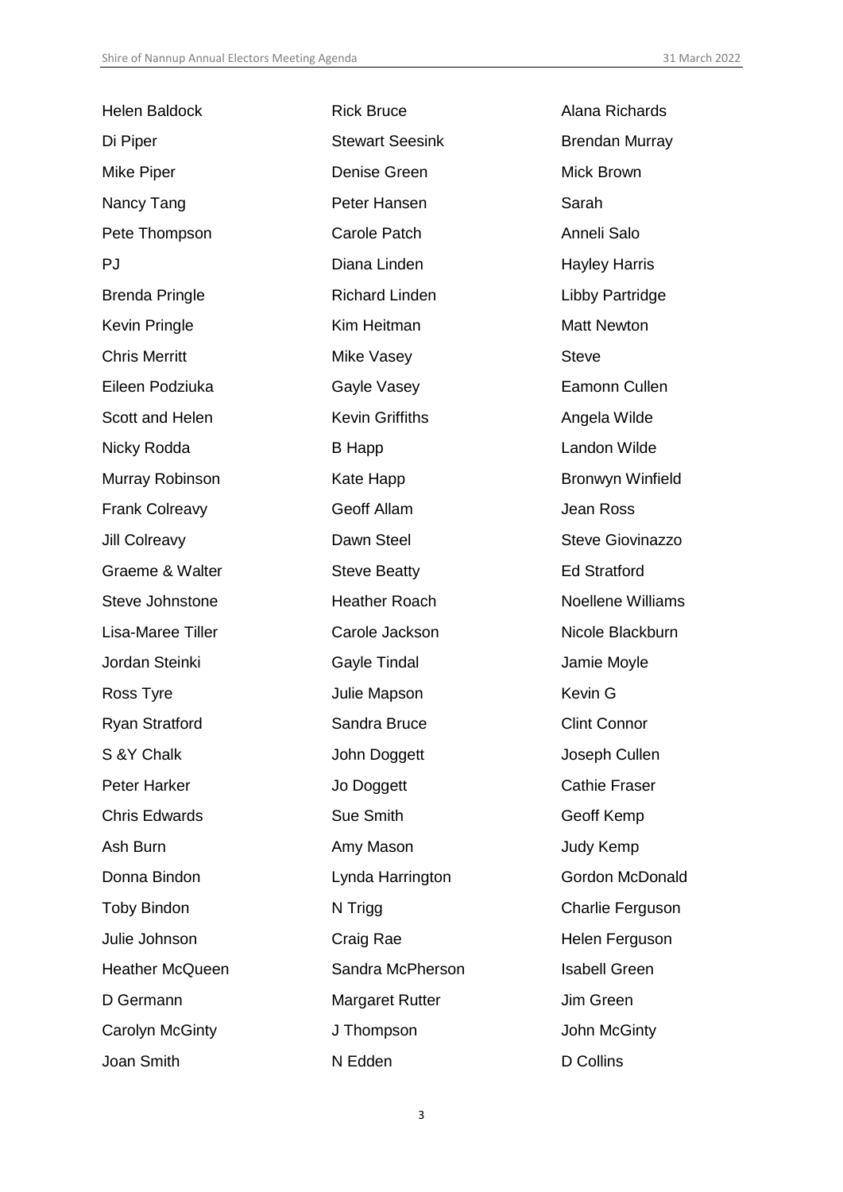| <b>Helen Baldock</b>   | <b>Rick Bruce</b>      | Alana Richards           |
|------------------------|------------------------|--------------------------|
| Di Piper               | <b>Stewart Seesink</b> | <b>Brendan Murray</b>    |
| Mike Piper             | Denise Green           | Mick Brown               |
| Nancy Tang             | Peter Hansen           | Sarah                    |
| Pete Thompson          | <b>Carole Patch</b>    | Anneli Salo              |
| PJ                     | Diana Linden           | <b>Hayley Harris</b>     |
| <b>Brenda Pringle</b>  | <b>Richard Linden</b>  | Libby Partridge          |
| Kevin Pringle          | Kim Heitman            | <b>Matt Newton</b>       |
| <b>Chris Merritt</b>   | Mike Vasey             | <b>Steve</b>             |
| Eileen Podziuka        | Gayle Vasey            | Eamonn Cullen            |
| Scott and Helen        | <b>Kevin Griffiths</b> | Angela Wilde             |
| Nicky Rodda            | <b>B</b> Happ          | Landon Wilde             |
| Murray Robinson        | Kate Happ              | <b>Bronwyn Winfield</b>  |
| <b>Frank Colreavy</b>  | Geoff Allam            | Jean Ross                |
| Jill Colreavy          | Dawn Steel             | <b>Steve Giovinazzo</b>  |
| Graeme & Walter        | <b>Steve Beatty</b>    | <b>Ed Stratford</b>      |
| Steve Johnstone        | <b>Heather Roach</b>   | <b>Noellene Williams</b> |
| Lisa-Maree Tiller      | Carole Jackson         | Nicole Blackburn         |
| Jordan Steinki         | Gayle Tindal           | Jamie Moyle              |
| Ross Tyre              | Julie Mapson           | Kevin G                  |
| <b>Ryan Stratford</b>  | Sandra Bruce           | <b>Clint Connor</b>      |
| S & Y Chalk            | John Doggett           | Joseph Cullen            |
| <b>Peter Harker</b>    | Jo Doggett             | <b>Cathie Fraser</b>     |
| <b>Chris Edwards</b>   | Sue Smith              | Geoff Kemp               |
| Ash Burn               | Amy Mason              | Judy Kemp                |
| Donna Bindon           | Lynda Harrington       | <b>Gordon McDonald</b>   |
| <b>Toby Bindon</b>     | N Trigg                | Charlie Ferguson         |
| Julie Johnson          | Craig Rae              | Helen Ferguson           |
| <b>Heather McQueen</b> | Sandra McPherson       | <b>Isabell Green</b>     |
| D Germann              | <b>Margaret Rutter</b> | Jim Green                |
| Carolyn McGinty        | J Thompson             | John McGinty             |
| Joan Smith             | N Edden                | D Collins                |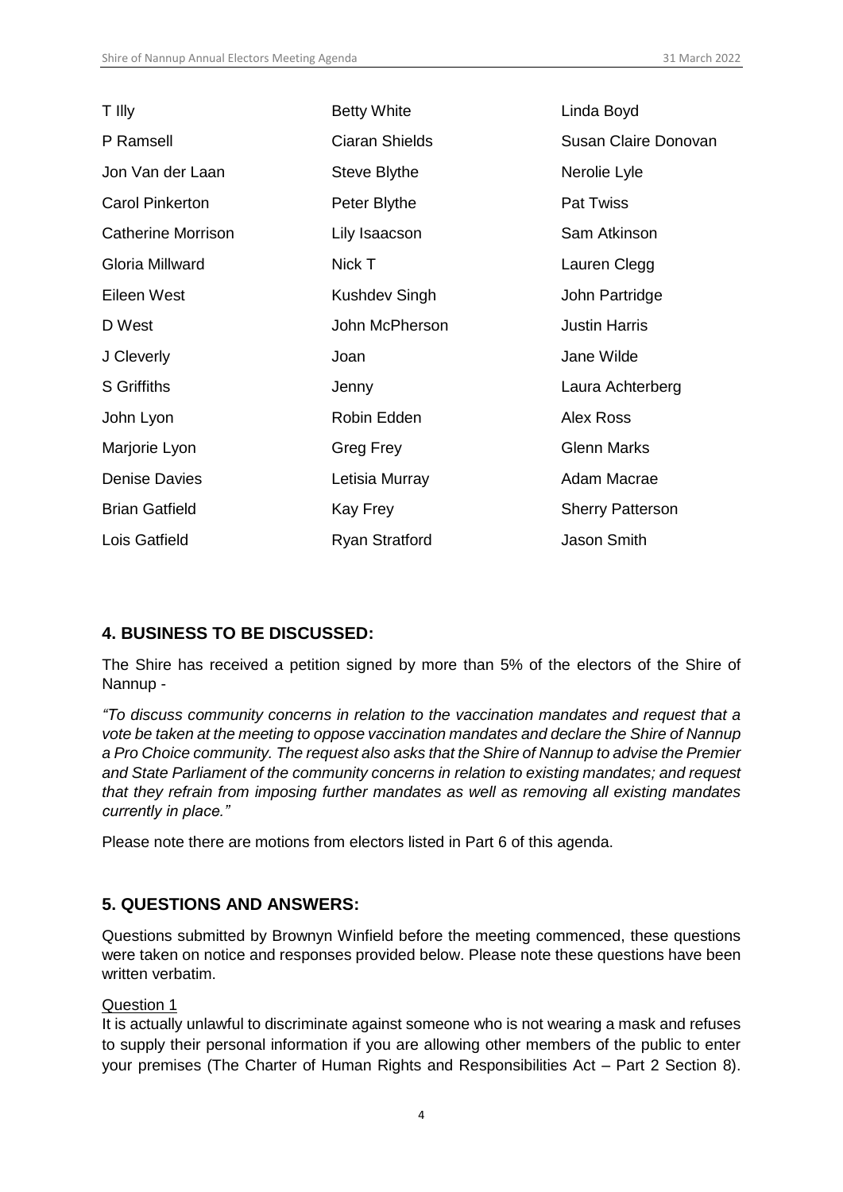| T Illy                    | <b>Betty White</b>    | Linda Boyd              |
|---------------------------|-----------------------|-------------------------|
| P Ramsell                 | <b>Ciaran Shields</b> | Susan Claire Donovan    |
| Jon Van der Laan          | Steve Blythe          | Nerolie Lyle            |
| <b>Carol Pinkerton</b>    | Peter Blythe          | <b>Pat Twiss</b>        |
| <b>Catherine Morrison</b> | Lily Isaacson         | Sam Atkinson            |
| Gloria Millward           | Nick T                | Lauren Clegg            |
| Eileen West               | <b>Kushdev Singh</b>  | John Partridge          |
| D West                    | John McPherson        | <b>Justin Harris</b>    |
| J Cleverly                | Joan                  | Jane Wilde              |
| <b>S</b> Griffiths        | Jenny                 | Laura Achterberg        |
| John Lyon                 | Robin Edden           | Alex Ross               |
| Marjorie Lyon             | Greg Frey             | <b>Glenn Marks</b>      |
| <b>Denise Davies</b>      | Letisia Murray        | Adam Macrae             |
| <b>Brian Gatfield</b>     | Kay Frey              | <b>Sherry Patterson</b> |
| Lois Gatfield             | <b>Ryan Stratford</b> | Jason Smith             |

# **4. BUSINESS TO BE DISCUSSED:**

The Shire has received a petition signed by more than 5% of the electors of the Shire of Nannup -

*"To discuss community concerns in relation to the vaccination mandates and request that a vote be taken at the meeting to oppose vaccination mandates and declare the Shire of Nannup a Pro Choice community. The request also asks that the Shire of Nannup to advise the Premier and State Parliament of the community concerns in relation to existing mandates; and request that they refrain from imposing further mandates as well as removing all existing mandates currently in place."*

Please note there are motions from electors listed in Part 6 of this agenda.

# <span id="page-3-0"></span>**5. QUESTIONS AND ANSWERS:**

Questions submitted by Brownyn Winfield before the meeting commenced, these questions were taken on notice and responses provided below. Please note these questions have been written verbatim.

#### Question 1

It is actually unlawful to discriminate against someone who is not wearing a mask and refuses to supply their personal information if you are allowing other members of the public to enter your premises (The Charter of Human Rights and Responsibilities Act – Part 2 Section 8).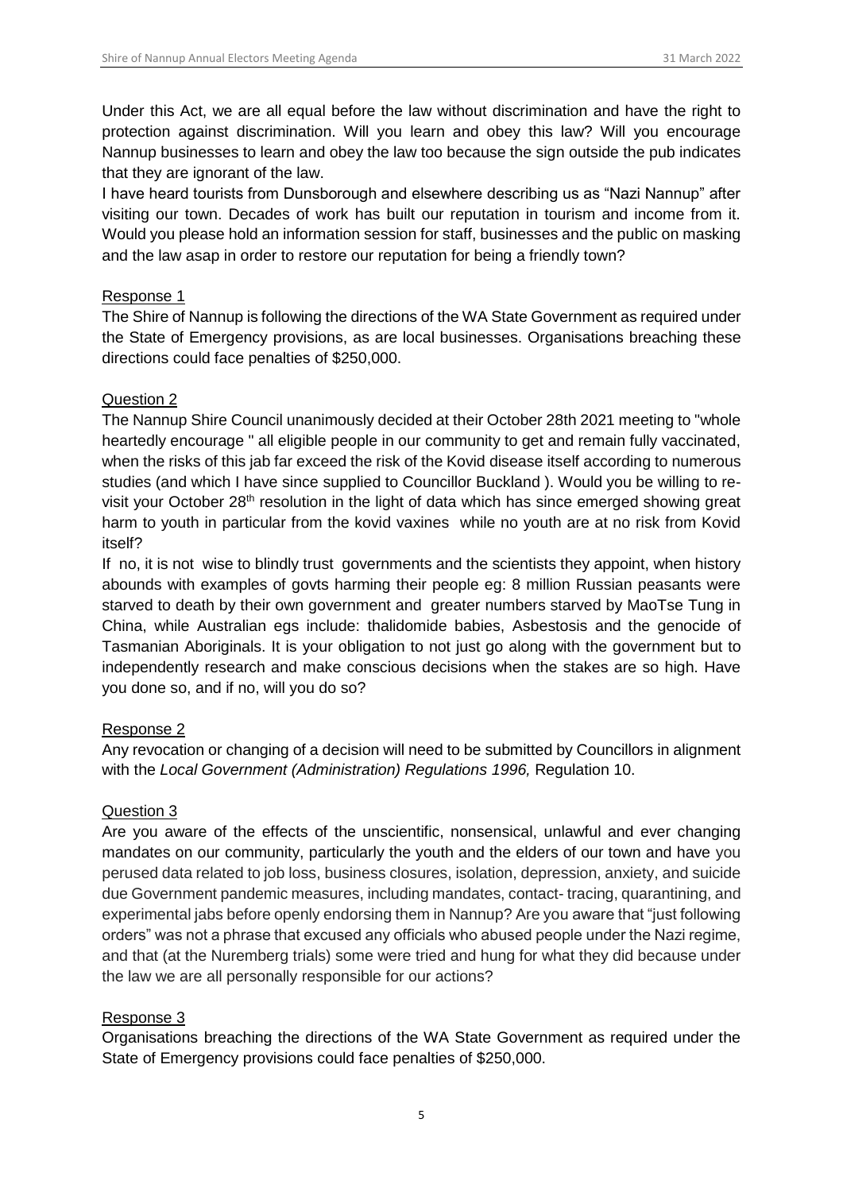Under this Act, we are all equal before the law without discrimination and have the right to protection against discrimination. Will you learn and obey this law? Will you encourage Nannup businesses to learn and obey the law too because the sign outside the pub indicates that they are ignorant of the law.

I have heard tourists from Dunsborough and elsewhere describing us as "Nazi Nannup" after visiting our town. Decades of work has built our reputation in tourism and income from it. Would you please hold an information session for staff, businesses and the public on masking and the law asap in order to restore our reputation for being a friendly town?

#### Response 1

The Shire of Nannup is following the directions of the WA State Government as required under the State of Emergency provisions, as are local businesses. Organisations breaching these directions could face penalties of \$250,000.

## Question 2

The Nannup Shire Council unanimously decided at their October 28th 2021 meeting to "whole heartedly encourage " all eligible people in our community to get and remain fully vaccinated, when the risks of this jab far exceed the risk of the Kovid disease itself according to numerous studies (and which I have since supplied to Councillor Buckland ). Would you be willing to revisit your October 28<sup>th</sup> resolution in the light of data which has since emerged showing great harm to youth in particular from the kovid vaxines while no youth are at no risk from Kovid itself?

If no, it is not wise to blindly trust governments and the scientists they appoint, when history abounds with examples of govts harming their people eg: 8 million Russian peasants were starved to death by their own government and greater numbers starved by MaoTse Tung in China, while Australian egs include: thalidomide babies, Asbestosis and the genocide of Tasmanian Aboriginals. It is your obligation to not just go along with the government but to independently research and make conscious decisions when the stakes are so high. Have you done so, and if no, will you do so?

#### Response 2

Any revocation or changing of a decision will need to be submitted by Councillors in alignment with the *Local Government (Administration) Regulations 1996,* Regulation 10.

# Question 3

Are you aware of the effects of the unscientific, nonsensical, unlawful and ever changing mandates on our community, particularly the youth and the elders of our town and have you perused data related to job loss, business closures, isolation, depression, anxiety, and suicide due Government pandemic measures, including mandates, contact- tracing, quarantining, and experimental jabs before openly endorsing them in Nannup? Are you aware that "just following orders" was not a phrase that excused any officials who abused people under the Nazi regime, and that (at the Nuremberg trials) some were tried and hung for what they did because under the law we are all personally responsible for our actions?

# Response 3

Organisations breaching the directions of the WA State Government as required under the State of Emergency provisions could face penalties of \$250,000.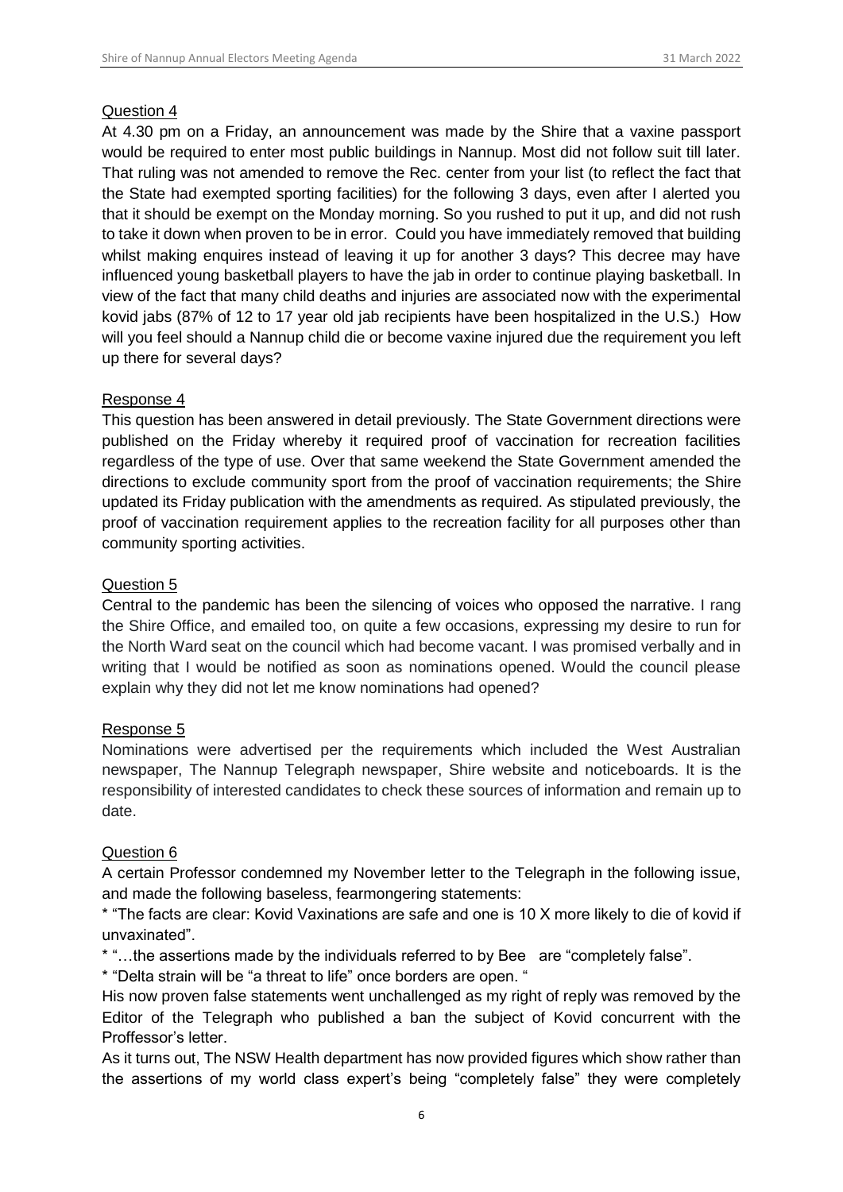#### Question 4

At 4.30 pm on a Friday, an announcement was made by the Shire that a vaxine passport would be required to enter most public buildings in Nannup. Most did not follow suit till later. That ruling was not amended to remove the Rec. center from your list (to reflect the fact that the State had exempted sporting facilities) for the following 3 days, even after I alerted you that it should be exempt on the Monday morning. So you rushed to put it up, and did not rush to take it down when proven to be in error. Could you have immediately removed that building whilst making enquires instead of leaving it up for another 3 days? This decree may have influenced young basketball players to have the jab in order to continue playing basketball. In view of the fact that many child deaths and injuries are associated now with the experimental kovid jabs (87% of 12 to 17 year old jab recipients have been hospitalized in the U.S.) How will you feel should a Nannup child die or become vaxine injured due the requirement you left up there for several days?

## Response 4

This question has been answered in detail previously. The State Government directions were published on the Friday whereby it required proof of vaccination for recreation facilities regardless of the type of use. Over that same weekend the State Government amended the directions to exclude community sport from the proof of vaccination requirements; the Shire updated its Friday publication with the amendments as required. As stipulated previously, the proof of vaccination requirement applies to the recreation facility for all purposes other than community sporting activities.

#### Question 5

Central to the pandemic has been the silencing of voices who opposed the narrative. I rang the Shire Office, and emailed too, on quite a few occasions, expressing my desire to run for the North Ward seat on the council which had become vacant. I was promised verbally and in writing that I would be notified as soon as nominations opened. Would the council please explain why they did not let me know nominations had opened?

#### Response 5

Nominations were advertised per the requirements which included the West Australian newspaper, The Nannup Telegraph newspaper, Shire website and noticeboards. It is the responsibility of interested candidates to check these sources of information and remain up to date.

#### Question 6

A certain Professor condemned my November letter to the Telegraph in the following issue, and made the following baseless, fearmongering statements:

\* "The facts are clear: Kovid Vaxinations are safe and one is 10 X more likely to die of kovid if unvaxinated".

\* "…the assertions made by the individuals referred to by Bee are "completely false".

\* "Delta strain will be "a threat to life" once borders are open. "

His now proven false statements went unchallenged as my right of reply was removed by the Editor of the Telegraph who published a ban the subject of Kovid concurrent with the Proffessor's letter.

As it turns out, The NSW Health department has now provided figures which show rather than the assertions of my world class expert's being "completely false" they were completely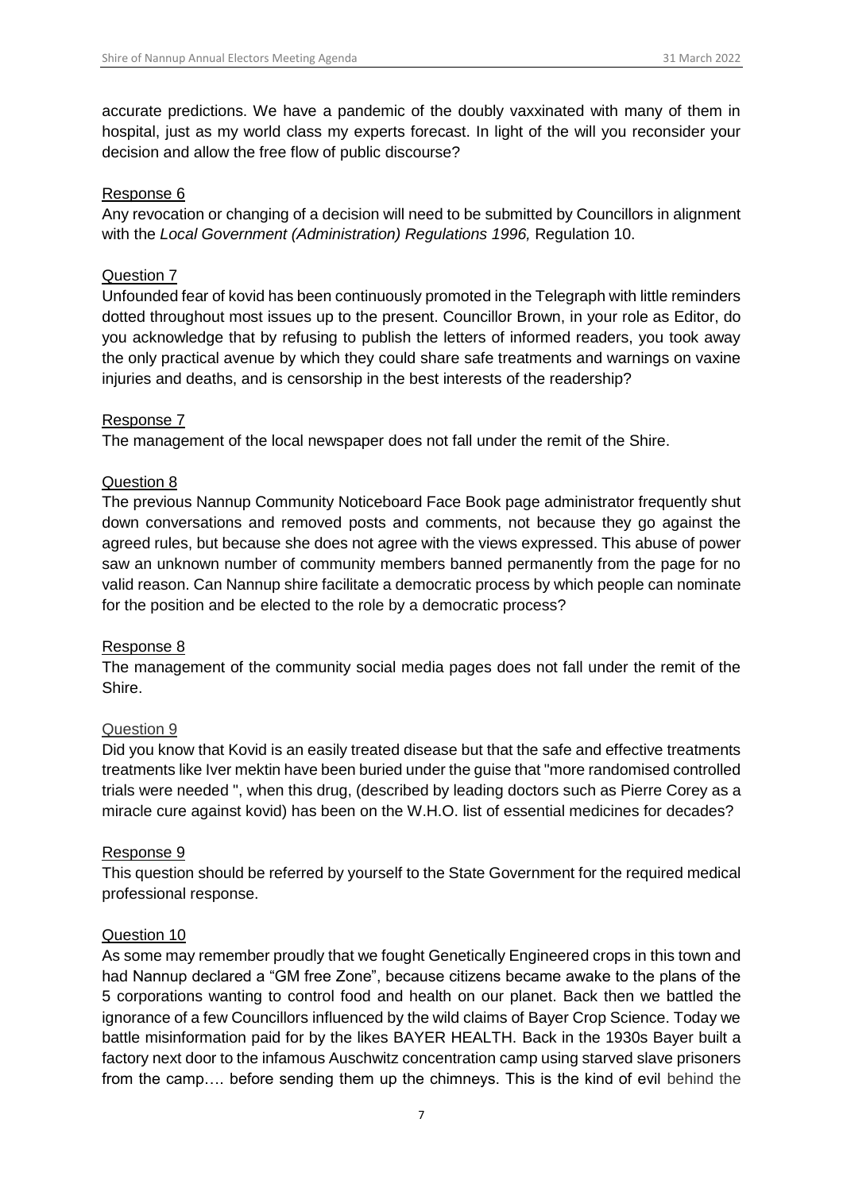accurate predictions. We have a pandemic of the doubly vaxxinated with many of them in hospital, just as my world class my experts forecast. In light of the will you reconsider your decision and allow the free flow of public discourse?

#### Response 6

Any revocation or changing of a decision will need to be submitted by Councillors in alignment with the *Local Government (Administration) Regulations 1996,* Regulation 10.

#### Question 7

Unfounded fear of kovid has been continuously promoted in the Telegraph with little reminders dotted throughout most issues up to the present. Councillor Brown, in your role as Editor, do you acknowledge that by refusing to publish the letters of informed readers, you took away the only practical avenue by which they could share safe treatments and warnings on vaxine injuries and deaths, and is censorship in the best interests of the readership?

#### Response 7

The management of the local newspaper does not fall under the remit of the Shire.

#### Question 8

The previous Nannup Community Noticeboard Face Book page administrator frequently shut down conversations and removed posts and comments, not because they go against the agreed rules, but because she does not agree with the views expressed. This abuse of power saw an unknown number of community members banned permanently from the page for no valid reason. Can Nannup shire facilitate a democratic process by which people can nominate for the position and be elected to the role by a democratic process?

#### Response 8

The management of the community social media pages does not fall under the remit of the Shire.

#### Question 9

Did you know that Kovid is an easily treated disease but that the safe and effective treatments treatments like Iver mektin have been buried under the guise that "more randomised controlled trials were needed ", when this drug, (described by leading doctors such as Pierre Corey as a miracle cure against kovid) has been on the W.H.O. list of essential medicines for decades?

#### Response 9

This question should be referred by yourself to the State Government for the required medical professional response.

#### Question 10

As some may remember proudly that we fought Genetically Engineered crops in this town and had Nannup declared a "GM free Zone", because citizens became awake to the plans of the 5 corporations wanting to control food and health on our planet. Back then we battled the ignorance of a few Councillors influenced by the wild claims of Bayer Crop Science. Today we battle misinformation paid for by the likes BAYER HEALTH. Back in the 1930s Bayer built a factory next door to the infamous Auschwitz concentration camp using starved slave prisoners from the camp…. before sending them up the chimneys. This is the kind of evil behind the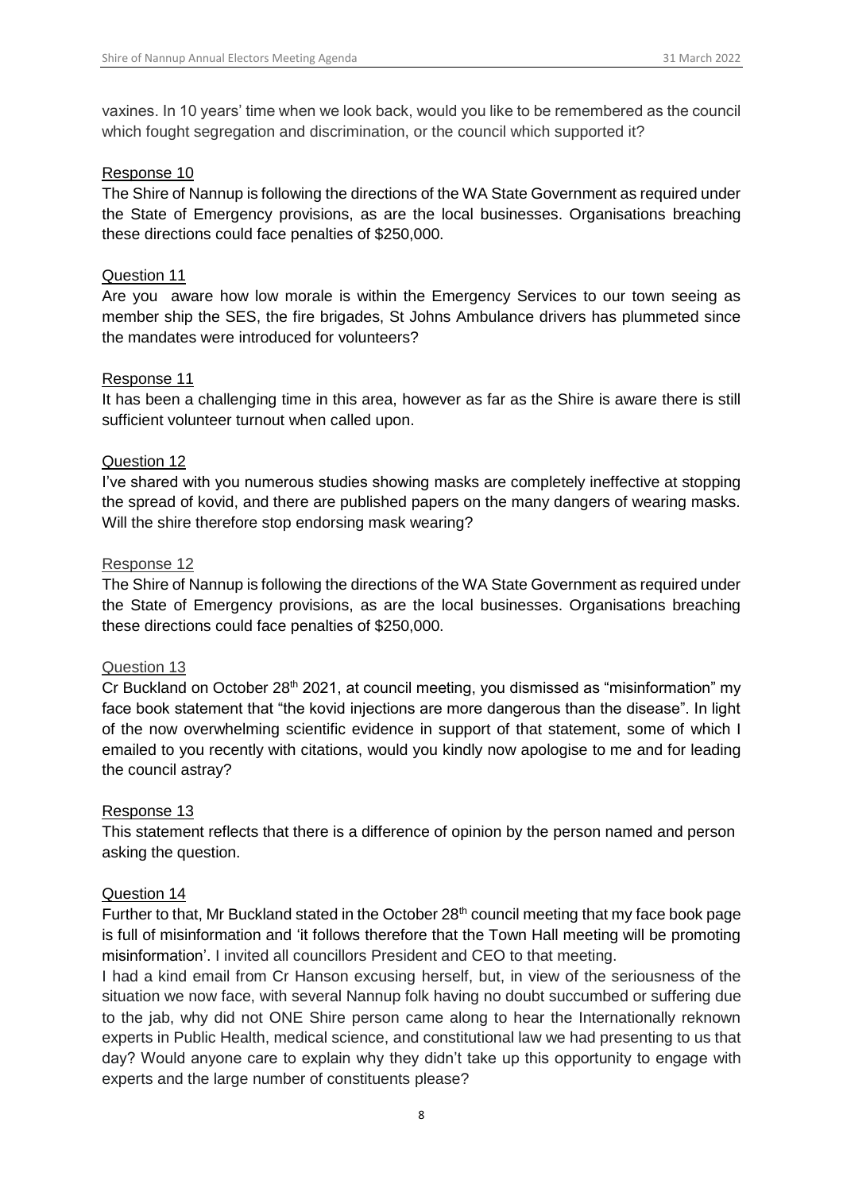vaxines. In 10 years' time when we look back, would you like to be remembered as the council which fought segregation and discrimination, or the council which supported it?

#### Response 10

The Shire of Nannup is following the directions of the WA State Government as required under the State of Emergency provisions, as are the local businesses. Organisations breaching these directions could face penalties of \$250,000.

#### Question 11

Are you aware how low morale is within the Emergency Services to our town seeing as member ship the SES, the fire brigades, St Johns Ambulance drivers has plummeted since the mandates were introduced for volunteers?

#### Response 11

It has been a challenging time in this area, however as far as the Shire is aware there is still sufficient volunteer turnout when called upon.

#### Question 12

I've shared with you numerous studies showing masks are completely ineffective at stopping the spread of kovid, and there are published papers on the many dangers of wearing masks. Will the shire therefore stop endorsing mask wearing?

#### Response 12

The Shire of Nannup is following the directions of the WA State Government as required under the State of Emergency provisions, as are the local businesses. Organisations breaching these directions could face penalties of \$250,000.

#### Question 13

Cr Buckland on October 28<sup>th</sup> 2021, at council meeting, you dismissed as "misinformation" my face book statement that "the kovid injections are more dangerous than the disease". In light of the now overwhelming scientific evidence in support of that statement, some of which I emailed to you recently with citations, would you kindly now apologise to me and for leading the council astray?

#### Response 13

This statement reflects that there is a difference of opinion by the person named and person asking the question.

#### Question 14

Further to that, Mr Buckland stated in the October 28<sup>th</sup> council meeting that my face book page is full of misinformation and 'it follows therefore that the Town Hall meeting will be promoting misinformation'. I invited all councillors President and CEO to that meeting.

I had a kind email from Cr Hanson excusing herself, but, in view of the seriousness of the situation we now face, with several Nannup folk having no doubt succumbed or suffering due to the jab, why did not ONE Shire person came along to hear the Internationally reknown experts in Public Health, medical science, and constitutional law we had presenting to us that day? Would anyone care to explain why they didn't take up this opportunity to engage with experts and the large number of constituents please?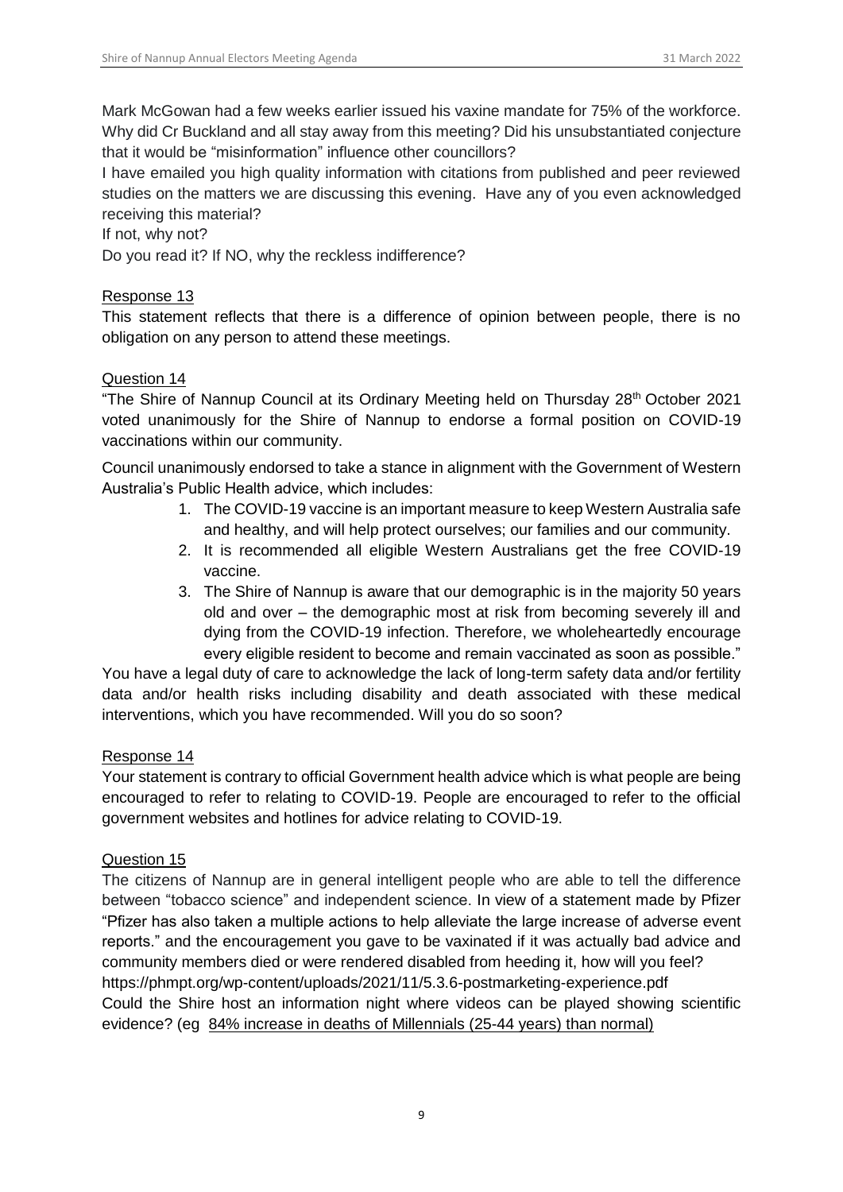Mark McGowan had a few weeks earlier issued his vaxine mandate for 75% of the workforce. Why did Cr Buckland and all stay away from this meeting? Did his unsubstantiated conjecture that it would be "misinformation" influence other councillors?

I have emailed you high quality information with citations from published and peer reviewed studies on the matters we are discussing this evening. Have any of you even acknowledged receiving this material?

#### If not, why not?

Do you read it? If NO, why the reckless indifference?

#### Response 13

This statement reflects that there is a difference of opinion between people, there is no obligation on any person to attend these meetings.

#### Question 14

"The Shire of Nannup Council at its Ordinary Meeting held on Thursday 28<sup>th</sup> October 2021 voted unanimously for the Shire of Nannup to endorse a formal position on COVID-19 vaccinations within our community.

Council unanimously endorsed to take a stance in alignment with the Government of Western Australia's Public Health advice, which includes:

- 1. The COVID-19 vaccine is an important measure to keep Western Australia safe and healthy, and will help protect ourselves; our families and our community.
- 2. It is recommended all eligible Western Australians get the free COVID-19 vaccine.
- 3. The Shire of Nannup is aware that our demographic is in the majority 50 years old and over – the demographic most at risk from becoming severely ill and dying from the COVID-19 infection. Therefore, we wholeheartedly encourage every eligible resident to become and remain vaccinated as soon as possible."

You have a legal duty of care to acknowledge the lack of long-term safety data and/or fertility data and/or health risks including disability and death associated with these medical interventions, which you have recommended. Will you do so soon?

#### Response 14

Your statement is contrary to official Government health advice which is what people are being encouraged to refer to relating to COVID-19. People are encouraged to refer to the official government websites and hotlines for advice relating to COVID-19.

#### Question 15

The citizens of Nannup are in general intelligent people who are able to tell the difference between "tobacco science" and independent science. In view of a statement made by Pfizer "Pfizer has also taken a multiple actions to help alleviate the large increase of adverse event reports." and the encouragement you gave to be vaxinated if it was actually bad advice and community members died or were rendered disabled from heeding it, how will you feel? https://phmpt.org/wp-content/uploads/2021/11/5.3.6-postmarketing-experience.pdf Could the Shire host an information night where videos can be played showing scientific evidence? (eg 84% increase in deaths of Millennials (25-44 years) than normal)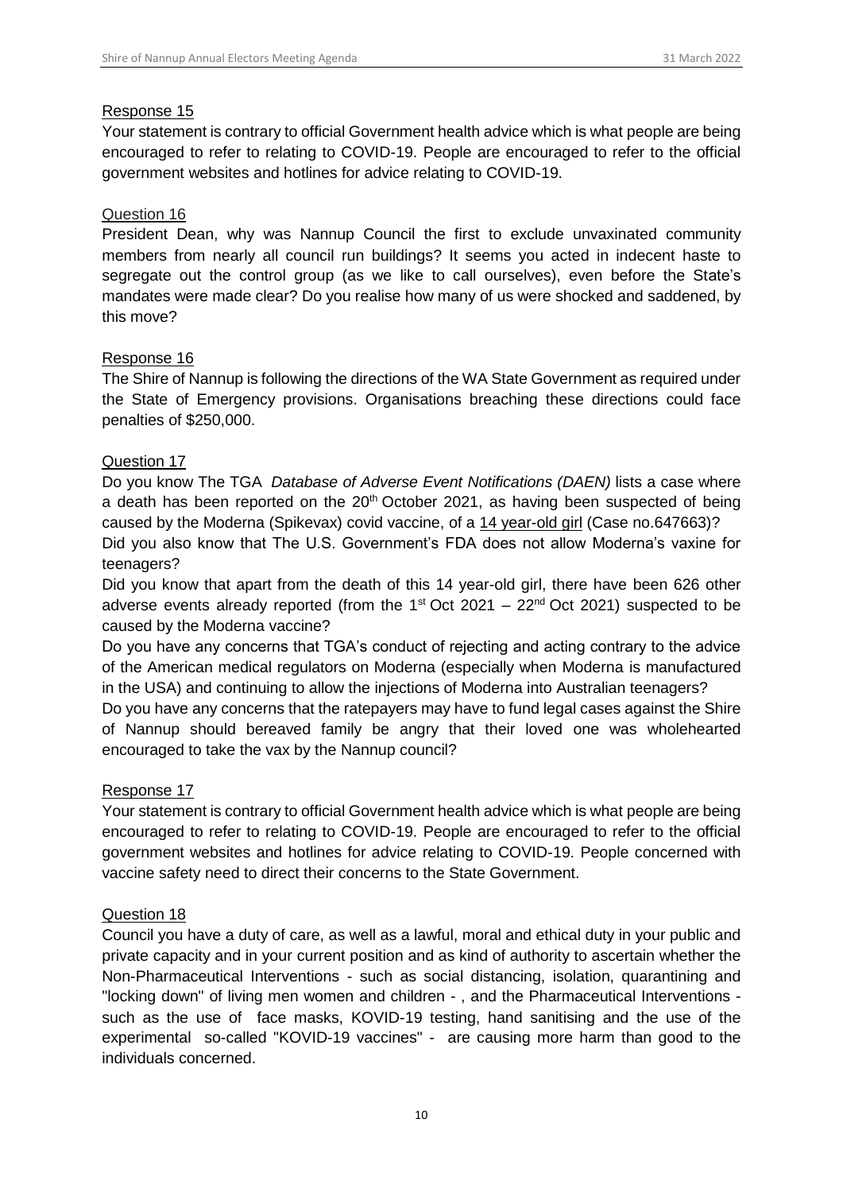#### Response 15

Your statement is contrary to official Government health advice which is what people are being encouraged to refer to relating to COVID-19. People are encouraged to refer to the official government websites and hotlines for advice relating to COVID-19.

#### Question 16

President Dean, why was Nannup Council the first to exclude unvaxinated community members from nearly all council run buildings? It seems you acted in indecent haste to segregate out the control group (as we like to call ourselves), even before the State's mandates were made clear? Do you realise how many of us were shocked and saddened, by this move?

#### Response 16

The Shire of Nannup is following the directions of the WA State Government as required under the State of Emergency provisions. Organisations breaching these directions could face penalties of \$250,000.

## Question 17

Do you know The TGA *Database of Adverse Event Notifications (DAEN)* lists a case where a death has been reported on the  $20<sup>th</sup>$  October 2021, as having been suspected of being caused by the Moderna (Spikevax) covid vaccine, of a 14 year-old girl (Case no.647663)? Did you also know that The U.S. Government's FDA does not allow Moderna's vaxine for teenagers?

Did you know that apart from the death of this 14 year-old girl, there have been 626 other adverse events already reported (from the  $1<sup>st</sup> Oct 2021 - 22<sup>nd</sup> Oct 2021$ ) suspected to be caused by the Moderna vaccine?

Do you have any concerns that TGA's conduct of rejecting and acting contrary to the advice of the American medical regulators on Moderna (especially when Moderna is manufactured in the USA) and continuing to allow the injections of Moderna into Australian teenagers?

Do you have any concerns that the ratepayers may have to fund legal cases against the Shire of Nannup should bereaved family be angry that their loved one was wholehearted encouraged to take the vax by the Nannup council?

# Response 17

Your statement is contrary to official Government health advice which is what people are being encouraged to refer to relating to COVID-19. People are encouraged to refer to the official government websites and hotlines for advice relating to COVID-19. People concerned with vaccine safety need to direct their concerns to the State Government.

#### Question 18

Council you have a duty of care, as well as a lawful, moral and ethical duty in your public and private capacity and in your current position and as kind of authority to ascertain whether the Non-Pharmaceutical Interventions - such as social distancing, isolation, quarantining and "locking down" of living men women and children - , and the Pharmaceutical Interventions such as the use of face masks, KOVID-19 testing, hand sanitising and the use of the experimental so-called "KOVID-19 vaccines" - are causing more harm than good to the individuals concerned.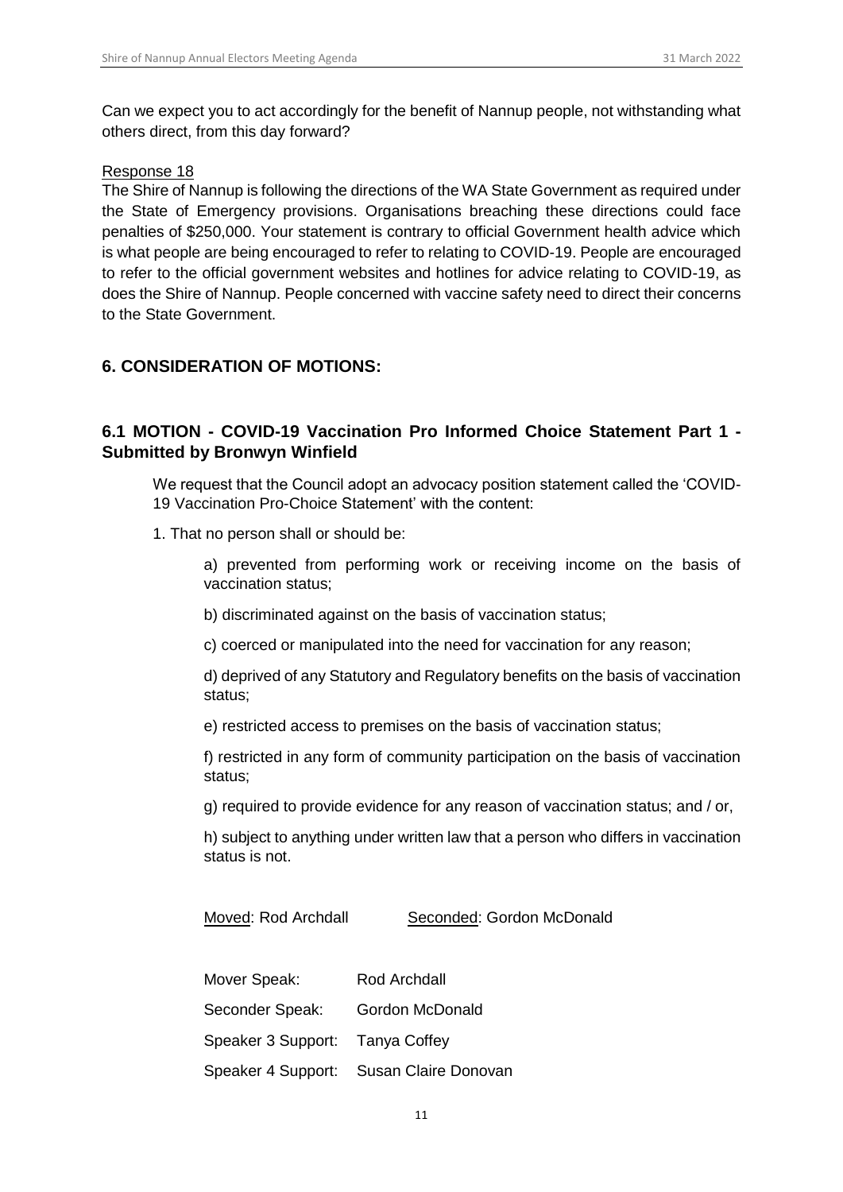Can we expect you to act accordingly for the benefit of Nannup people, not withstanding what others direct, from this day forward?

#### Response 18

The Shire of Nannup is following the directions of the WA State Government as required under the State of Emergency provisions. Organisations breaching these directions could face penalties of \$250,000. Your statement is contrary to official Government health advice which is what people are being encouraged to refer to relating to COVID-19. People are encouraged to refer to the official government websites and hotlines for advice relating to COVID-19, as does the Shire of Nannup. People concerned with vaccine safety need to direct their concerns to the State Government.

# <span id="page-10-0"></span>**6. CONSIDERATION OF MOTIONS:**

# <span id="page-10-1"></span>**6.1 MOTION - COVID-19 Vaccination Pro Informed Choice Statement Part 1 - Submitted by Bronwyn Winfield**

We request that the Council adopt an advocacy position statement called the 'COVID-19 Vaccination Pro-Choice Statement' with the content:

- 1. That no person shall or should be:
	- a) prevented from performing work or receiving income on the basis of vaccination status;
	- b) discriminated against on the basis of vaccination status;
	- c) coerced or manipulated into the need for vaccination for any reason;

d) deprived of any Statutory and Regulatory benefits on the basis of vaccination status;

e) restricted access to premises on the basis of vaccination status;

f) restricted in any form of community participation on the basis of vaccination status;

g) required to provide evidence for any reason of vaccination status; and / or,

h) subject to anything under written law that a person who differs in vaccination status is not.

Moved: Rod Archdall Seconded: Gordon McDonald

| Mover Speak:                    | Rod Archdall                            |
|---------------------------------|-----------------------------------------|
| Seconder Speak:                 | <b>Gordon McDonald</b>                  |
| Speaker 3 Support: Tanya Coffey |                                         |
|                                 | Speaker 4 Support: Susan Claire Donovan |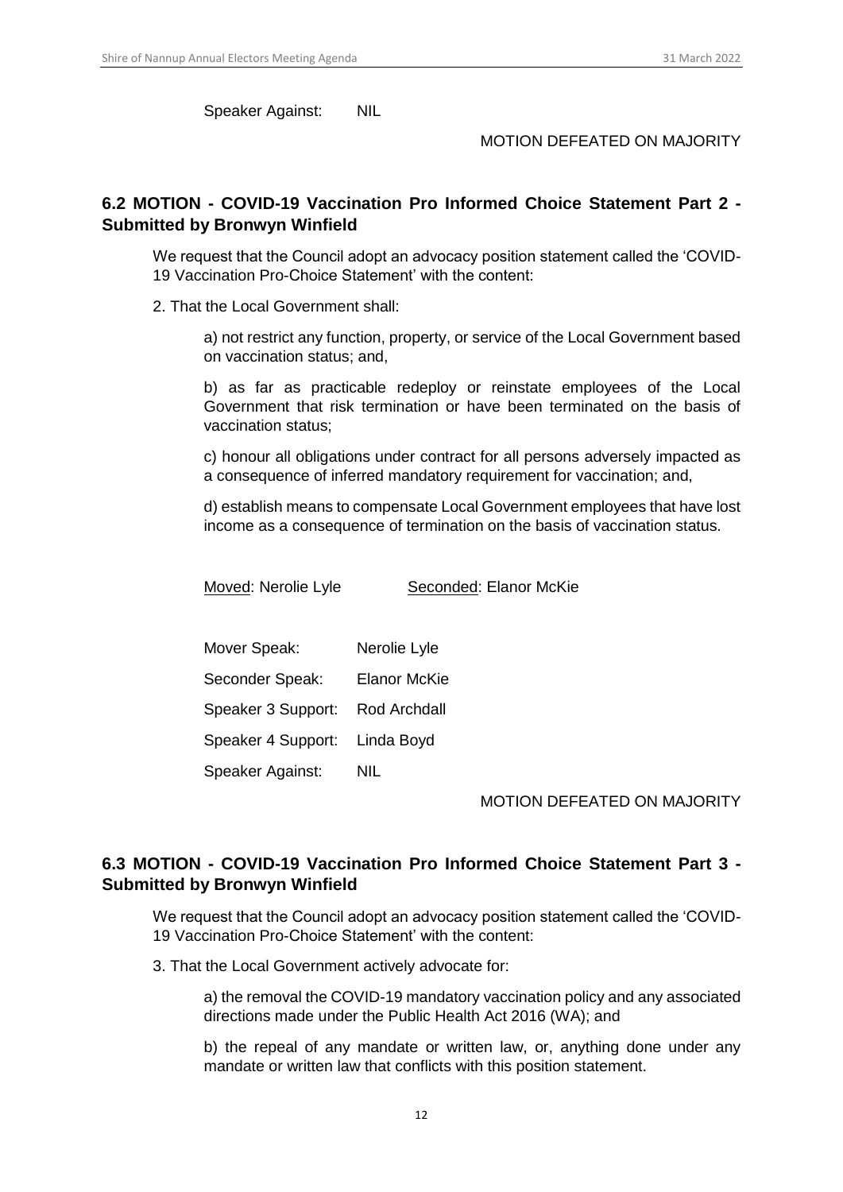Speaker Against: NIL

#### MOTION DEFEATED ON MAJORITY

# <span id="page-11-0"></span>**6.2 MOTION - COVID-19 Vaccination Pro Informed Choice Statement Part 2 - Submitted by Bronwyn Winfield**

We request that the Council adopt an advocacy position statement called the 'COVID-19 Vaccination Pro-Choice Statement' with the content:

2. That the Local Government shall:

a) not restrict any function, property, or service of the Local Government based on vaccination status; and,

b) as far as practicable redeploy or reinstate employees of the Local Government that risk termination or have been terminated on the basis of vaccination status;

c) honour all obligations under contract for all persons adversely impacted as a consequence of inferred mandatory requirement for vaccination; and,

d) establish means to compensate Local Government employees that have lost income as a consequence of termination on the basis of vaccination status.

Moved: Nerolie Lyle Seconded: Elanor McKie

| Mover Speak:       | Nerolie Lyle        |
|--------------------|---------------------|
| Seconder Speak:    | <b>Elanor McKie</b> |
| Speaker 3 Support: | Rod Archdall        |
| Speaker 4 Support: | Linda Boyd          |
| Speaker Against:   | NIL                 |

MOTION DEFEATED ON MAJORITY

# <span id="page-11-1"></span>**6.3 MOTION - COVID-19 Vaccination Pro Informed Choice Statement Part 3 - Submitted by Bronwyn Winfield**

We request that the Council adopt an advocacy position statement called the 'COVID-19 Vaccination Pro-Choice Statement' with the content:

3. That the Local Government actively advocate for:

a) the removal the COVID-19 mandatory vaccination policy and any associated directions made under the Public Health Act 2016 (WA); and

b) the repeal of any mandate or written law, or, anything done under any mandate or written law that conflicts with this position statement.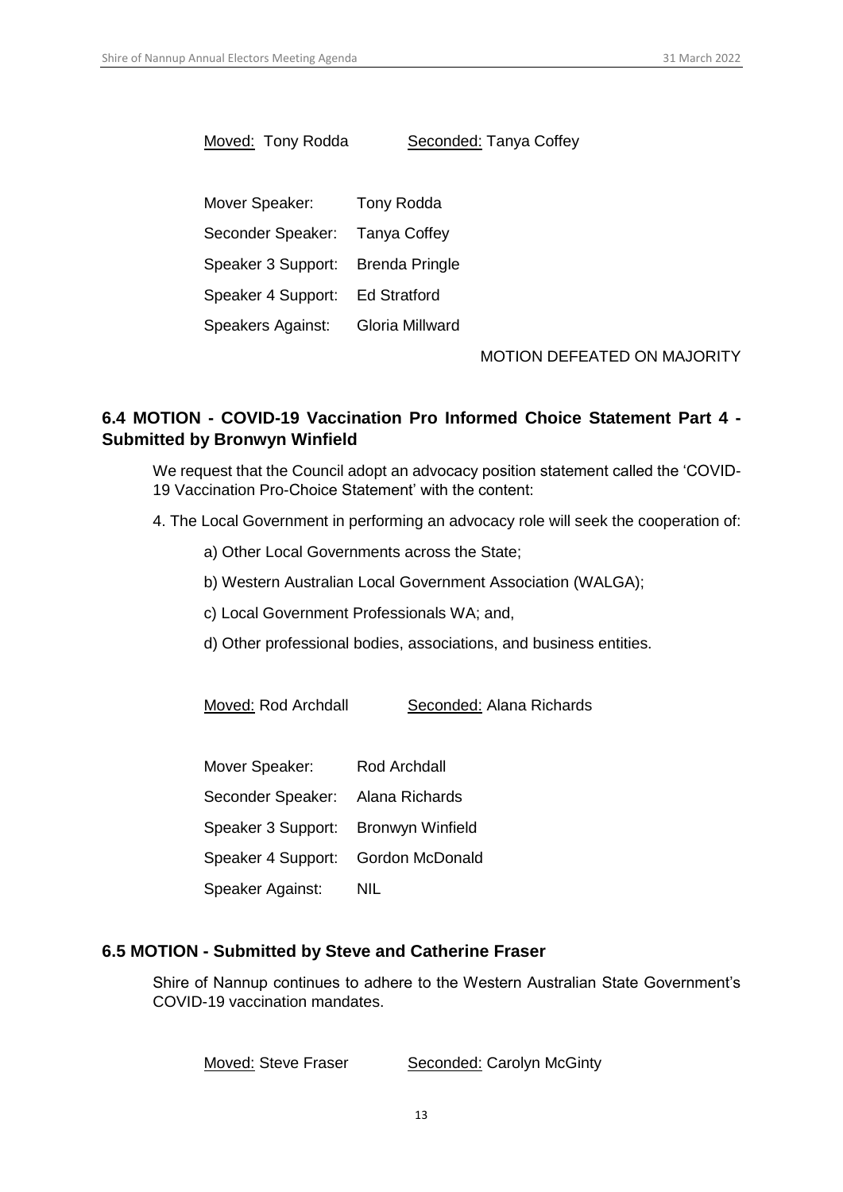Moved: Tony Rodda Seconded: Tanya Coffey

Mover Speaker: Tony Rodda Seconder Speaker: Tanya Coffey Speaker 3 Support: Brenda Pringle Speaker 4 Support: Ed Stratford Speakers Against: Gloria Millward

MOTION DEFEATED ON MAJORITY

# <span id="page-12-0"></span>**6.4 MOTION - COVID-19 Vaccination Pro Informed Choice Statement Part 4 - Submitted by Bronwyn Winfield**

We request that the Council adopt an advocacy position statement called the 'COVID-19 Vaccination Pro-Choice Statement' with the content:

- 4. The Local Government in performing an advocacy role will seek the cooperation of:
	- a) Other Local Governments across the State;
	- b) Western Australian Local Government Association (WALGA);
	- c) Local Government Professionals WA; and,
	- d) Other professional bodies, associations, and business entities.

Moved: Rod Archdall Seconded: Alana Richards

| Mover Speaker:                      | <b>Rod Archdall</b> |
|-------------------------------------|---------------------|
| Seconder Speaker: Alana Richards    |                     |
| Speaker 3 Support: Bronwyn Winfield |                     |
| Speaker 4 Support: Gordon McDonald  |                     |
| Speaker Against:                    | NIL                 |

#### <span id="page-12-1"></span>**6.5 MOTION - Submitted by Steve and Catherine Fraser**

Shire of Nannup continues to adhere to the Western Australian State Government's COVID-19 vaccination mandates.

Moved: Steve Fraser Seconded: Carolyn McGinty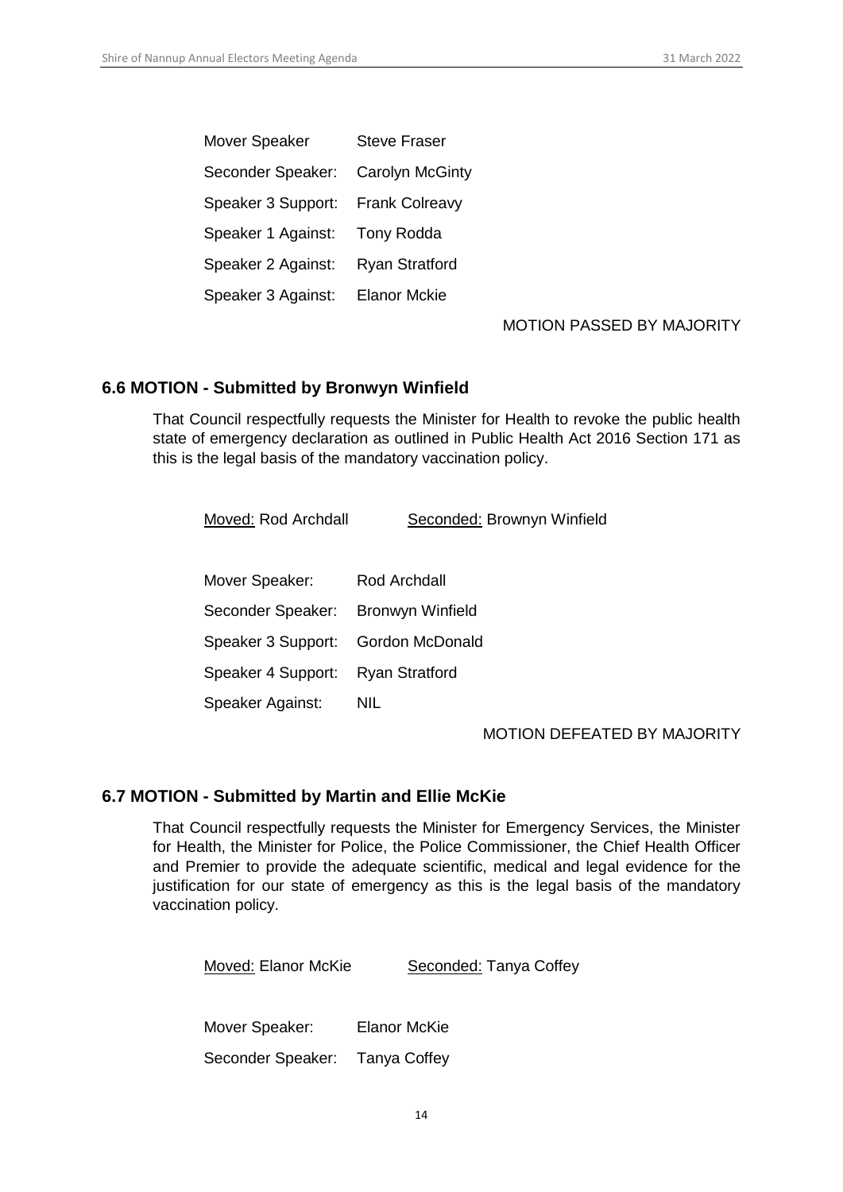| Mover Speaker      | <b>Steve Fraser</b>    |
|--------------------|------------------------|
| Seconder Speaker:  | <b>Carolyn McGinty</b> |
| Speaker 3 Support: | <b>Frank Colreavy</b>  |
| Speaker 1 Against: | <b>Tony Rodda</b>      |
| Speaker 2 Against: | <b>Ryan Stratford</b>  |
| Speaker 3 Against: | <b>Elanor Mckie</b>    |

#### MOTION PASSED BY MAJORITY

## <span id="page-13-0"></span>**6.6 MOTION - Submitted by Bronwyn Winfield**

That Council respectfully requests the Minister for Health to revoke the public health state of emergency declaration as outlined in Public Health Act 2016 Section 171 as this is the legal basis of the mandatory vaccination policy.

| Moved: Rod Archdall | Seconded: Brownyn Winfield |
|---------------------|----------------------------|
|                     |                            |
| Mover Speaker:      | Rod Archdall               |

| Seconder Speaker: Bronwyn Winfield |     |
|------------------------------------|-----|
| Speaker 3 Support: Gordon McDonald |     |
| Speaker 4 Support: Ryan Stratford  |     |
| Speaker Against:                   | NIL |

#### MOTION DEFEATED BY MAJORITY

#### <span id="page-13-1"></span>**6.7 MOTION - Submitted by Martin and Ellie McKie**

That Council respectfully requests the Minister for Emergency Services, the Minister for Health, the Minister for Police, the Police Commissioner, the Chief Health Officer and Premier to provide the adequate scientific, medical and legal evidence for the justification for our state of emergency as this is the legal basis of the mandatory vaccination policy.

| Moved: Elanor McKie            | Seconded: Tanya Coffey |
|--------------------------------|------------------------|
|                                |                        |
| Mover Speaker:                 | <b>Elanor McKie</b>    |
| Seconder Speaker: Tanya Coffey |                        |